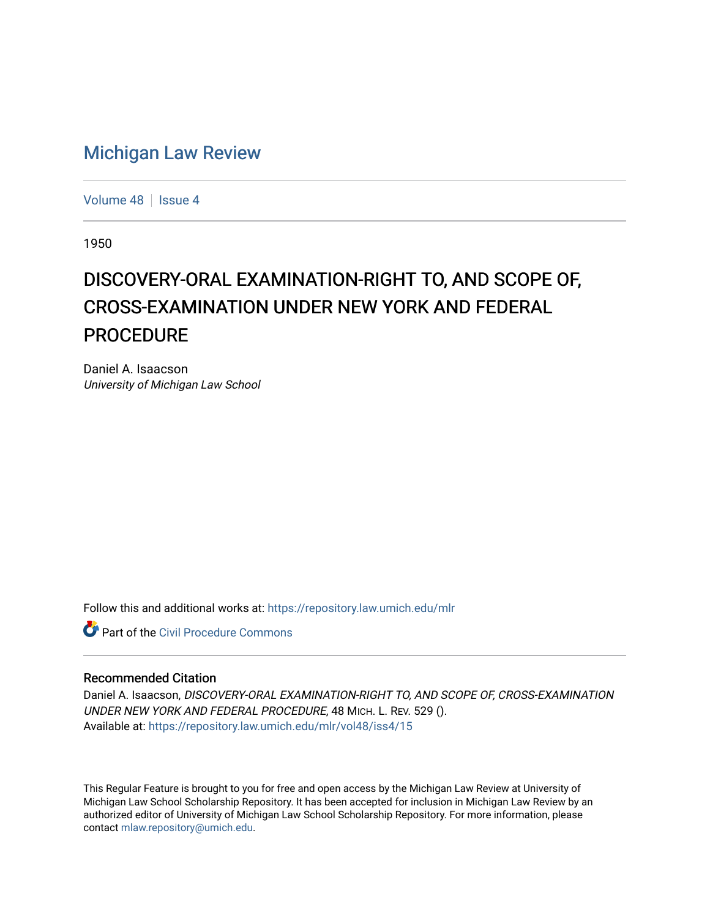## [Michigan Law Review](https://repository.law.umich.edu/mlr)

[Volume 48](https://repository.law.umich.edu/mlr/vol48) | [Issue 4](https://repository.law.umich.edu/mlr/vol48/iss4)

1950

## DISCOVERY-ORAL EXAMINATION-RIGHT TO, AND SCOPE OF, CROSS-EXAMINATION UNDER NEW YORK AND FEDERAL **PROCEDURE**

Daniel A. Isaacson University of Michigan Law School

Follow this and additional works at: [https://repository.law.umich.edu/mlr](https://repository.law.umich.edu/mlr?utm_source=repository.law.umich.edu%2Fmlr%2Fvol48%2Fiss4%2F15&utm_medium=PDF&utm_campaign=PDFCoverPages) 

**C** Part of the Civil Procedure Commons

## Recommended Citation

Daniel A. Isaacson, DISCOVERY-ORAL EXAMINATION-RIGHT TO, AND SCOPE OF, CROSS-EXAMINATION UNDER NEW YORK AND FEDERAL PROCEDURE, 48 MICH. L. REV. 529 (). Available at: [https://repository.law.umich.edu/mlr/vol48/iss4/15](https://repository.law.umich.edu/mlr/vol48/iss4/15?utm_source=repository.law.umich.edu%2Fmlr%2Fvol48%2Fiss4%2F15&utm_medium=PDF&utm_campaign=PDFCoverPages) 

This Regular Feature is brought to you for free and open access by the Michigan Law Review at University of Michigan Law School Scholarship Repository. It has been accepted for inclusion in Michigan Law Review by an authorized editor of University of Michigan Law School Scholarship Repository. For more information, please contact [mlaw.repository@umich.edu](mailto:mlaw.repository@umich.edu).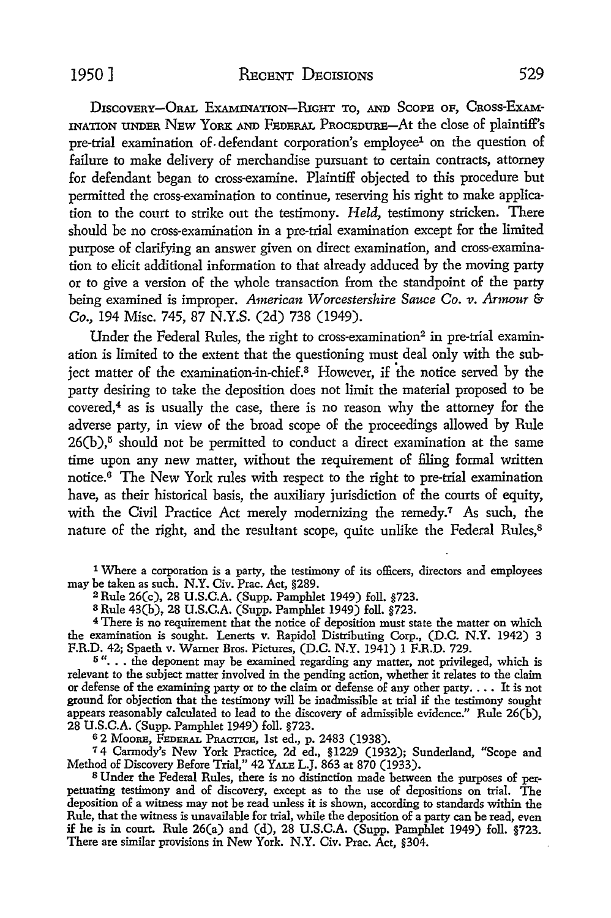D1scoVERY-ORAL EXAMINATION-RIGHT To, AND ScoPE oF, CRoss-ExAM-INATION UNDER NEw YoRK AND FEDERAL PROCEDURE-At the close of plaintiff's pre-trial examination of defendant corporation's employee<sup>1</sup> on the question of failure to make delivery of merchandise pursuant to certain contracts, attorney for defendant began to cross-examine. Plaintiff objected to this procedure but permitted the cross-examination to continue, reserving his right to make application to the court to strike out the testimony. *Held,* testimony stricken. There should be no cross-examination in a pre-trial examination except for the limited purpose of clarifying an answer given on direct examination, and cross-examination to elicit additional information to that already adduced by the moving party or to give a version of the whole transaction from the standpoint of the party being examined is improper. *American Worcestershire Sauce Co. v. Armour* & *Co.,* 194 Misc. 745, 87 N.Y.S. (2d) 738 (1949).

Under the Federal Rules, the right to cross-examination<sup>2</sup> in pre-trial examination is limited to the extent that the questioning must deal only with the subject matter of the examination-in-chief.3 However, if the notice served by the party desiring to take the deposition does not limit the material proposed to be covered,4 as is usually the case, there is no reason why the attorney for the adverse party, in view of the broad scope of the proceedings allowed by Rule  $26(b)$ ,<sup>5</sup> should not be permitted to conduct a direct examination at the same time upon any new matter, without the requirement of filing formal written notice.6 The New York rules with respect to the right to pre-trial examination have, as their historical basis, the auxiliary jurisdiction of the courts of equity, with the Civil Practice Act merely modernizing the remedy.<sup>7</sup> As such, the nature of the right, and the resultant scope, quite unlike the Federal Rules,<sup>8</sup>

1 Where a corporation is a party, the testimony of its officers, directors and employees may be taken as such. N.Y. Civ. Prac. Act, §289.

<sup>2</sup> Rule 26(c), 28 U.S.C.A. (Supp. Pamphlet 1949) foll. §723.

3 Rule 43(b), 28 U.S.C.A. (Supp. Pamphlet 1949) foll. §723.

<sup>4</sup>There is no requirement that the notice of deposition must state the matter on which the examination is sought. Lenerts v. Rapidol Distributing Corp., (D.C. N.Y. 1942) 3 F.R.D. 42; Spaeth v. Warner Bros. Pictures, (D.C. N.Y. 1941) 1 F.R.D. 729.

 $5$ "... the deponent may be examined regarding any matter, not privileged, which is relevant to the subject matter involved in the pending action, whether it relates to the claim or defense of the examining party or to the claim or defense of any other party.... It is not ground for objection that the testimony will be inadmissible at trial if the testimony sought appears reasonably calculated to lead to the discovery of admissible evidence." Rule  $26(b)$ , 28 U.S.C.A. (Supp. Pamphlet 1949) foll. §723.

o 2 MooRE, FEDERAL PRACTICE, 1st ed., p. 2483 (1938).

<sup>7</sup>4 Carmody's New York Practice, 2d ed., §1229 (1932); Sunderland, "Scope and Method of Discovery Before Trial," 42 YALE L.J. 863 at 870 (1933).

8 Under the Federal Rules, there is no distinction made between the purposes of perpetuating testimony and of discovery, except as to the use of depositions on trial. The deposition of a witness may not be read unless it is shown, according to standards within the Rule, that the witness is unavailable for trial, while the deposition of a party can be read, even if he is in court. Rule 26(a) and (d), 28 U.S.C.A. (Supp. Pamphlet 1949) foll. §723. There are similar provisions in New York. N.Y. Civ. Prac. Act, §304.